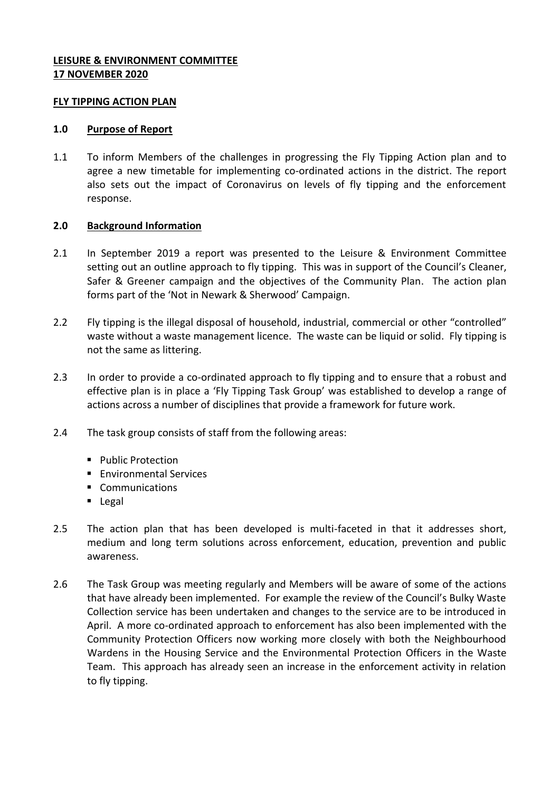## **LEISURE & ENVIRONMENT COMMITTEE 17 NOVEMBER 2020**

### **FLY TIPPING ACTION PLAN**

## **1.0 Purpose of Report**

1.1 To inform Members of the challenges in progressing the Fly Tipping Action plan and to agree a new timetable for implementing co-ordinated actions in the district. The report also sets out the impact of Coronavirus on levels of fly tipping and the enforcement response.

# **2.0 Background Information**

- 2.1 In September 2019 a report was presented to the Leisure & Environment Committee setting out an outline approach to fly tipping. This was in support of the Council's Cleaner, Safer & Greener campaign and the objectives of the Community Plan. The action plan forms part of the 'Not in Newark & Sherwood' Campaign.
- 2.2 Fly tipping is the illegal disposal of household, industrial, commercial or other "controlled" waste without a waste management licence. The waste can be liquid or solid. Fly tipping is not the same as littering.
- 2.3 In order to provide a co-ordinated approach to fly tipping and to ensure that a robust and effective plan is in place a 'Fly Tipping Task Group' was established to develop a range of actions across a number of disciplines that provide a framework for future work.
- 2.4 The task group consists of staff from the following areas:
	- **Public Protection**
	- **Environmental Services**
	- **Communications**
	- **Legal**
- 2.5 The action plan that has been developed is multi-faceted in that it addresses short, medium and long term solutions across enforcement, education, prevention and public awareness.
- 2.6 The Task Group was meeting regularly and Members will be aware of some of the actions that have already been implemented. For example the review of the Council's Bulky Waste Collection service has been undertaken and changes to the service are to be introduced in April. A more co-ordinated approach to enforcement has also been implemented with the Community Protection Officers now working more closely with both the Neighbourhood Wardens in the Housing Service and the Environmental Protection Officers in the Waste Team. This approach has already seen an increase in the enforcement activity in relation to fly tipping.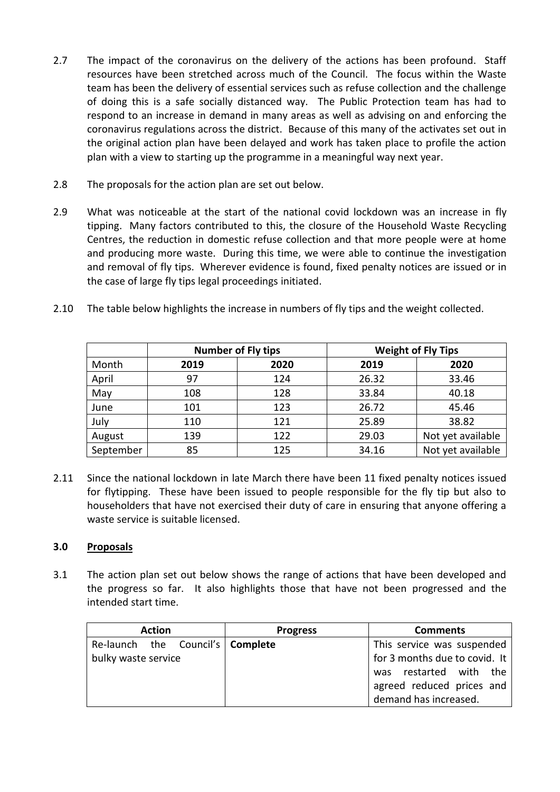- 2.7 The impact of the coronavirus on the delivery of the actions has been profound. Staff resources have been stretched across much of the Council. The focus within the Waste team has been the delivery of essential services such as refuse collection and the challenge of doing this is a safe socially distanced way. The Public Protection team has had to respond to an increase in demand in many areas as well as advising on and enforcing the coronavirus regulations across the district. Because of this many of the activates set out in the original action plan have been delayed and work has taken place to profile the action plan with a view to starting up the programme in a meaningful way next year.
- 2.8 The proposals for the action plan are set out below.
- 2.9 What was noticeable at the start of the national covid lockdown was an increase in fly tipping. Many factors contributed to this, the closure of the Household Waste Recycling Centres, the reduction in domestic refuse collection and that more people were at home and producing more waste. During this time, we were able to continue the investigation and removal of fly tips. Wherever evidence is found, fixed penalty notices are issued or in the case of large fly tips legal proceedings initiated.

|  | 2.10 The table below highlights the increase in numbers of fly tips and the weight collected. |  |  |
|--|-----------------------------------------------------------------------------------------------|--|--|
|--|-----------------------------------------------------------------------------------------------|--|--|

|           |      | <b>Number of Fly tips</b> |       | <b>Weight of Fly Tips</b> |
|-----------|------|---------------------------|-------|---------------------------|
| Month     | 2019 | 2020                      | 2019  | 2020                      |
| April     | 97   | 124                       | 26.32 | 33.46                     |
| May       | 108  | 128                       | 33.84 | 40.18                     |
| June      | 101  | 123                       | 26.72 | 45.46                     |
| July      | 110  | 121                       | 25.89 | 38.82                     |
| August    | 139  | 122                       | 29.03 | Not yet available         |
| September | 85   | 125                       | 34.16 | Not yet available         |

2.11 Since the national lockdown in late March there have been 11 fixed penalty notices issued for flytipping. These have been issued to people responsible for the fly tip but also to householders that have not exercised their duty of care in ensuring that anyone offering a waste service is suitable licensed.

### **3.0 Proposals**

3.1 The action plan set out below shows the range of actions that have been developed and the progress so far. It also highlights those that have not been progressed and the intended start time.

| <b>Action</b>                      |  | <b>Progress</b> | <b>Comments</b>               |  |
|------------------------------------|--|-----------------|-------------------------------|--|
| Re-launch the Council's   Complete |  |                 | This service was suspended    |  |
| bulky waste service                |  |                 | for 3 months due to covid. It |  |
|                                    |  |                 | was restarted with the        |  |
|                                    |  |                 | agreed reduced prices and     |  |
|                                    |  |                 | demand has increased.         |  |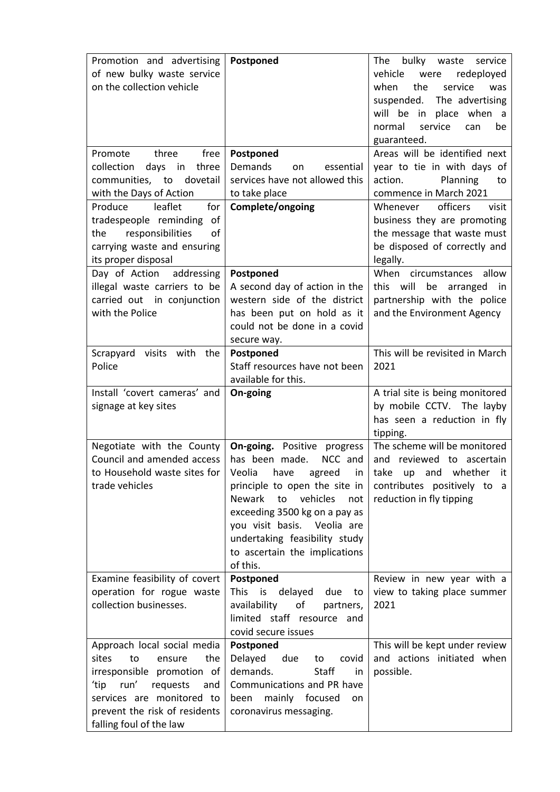| Promotion and advertising<br>of new bulky waste service<br>on the collection vehicle<br>three<br>Promote<br>free<br>collection days in three                                                                          | Postponed<br>Postponed<br><b>Demands</b><br>essential<br>on                                                                                                                                                                                                                       | The bulky waste service<br>redeployed<br>vehicle<br>were<br>when<br>the<br>service<br>was<br>suspended. The advertising<br>will be in place when a<br>normal<br>service<br>can<br>be<br>guaranteed.<br>Areas will be identified next<br>year to tie in with days of |
|-----------------------------------------------------------------------------------------------------------------------------------------------------------------------------------------------------------------------|-----------------------------------------------------------------------------------------------------------------------------------------------------------------------------------------------------------------------------------------------------------------------------------|---------------------------------------------------------------------------------------------------------------------------------------------------------------------------------------------------------------------------------------------------------------------|
| communities, to dovetail<br>with the Days of Action<br>leaflet<br>Produce<br>for<br>tradespeople reminding of                                                                                                         | services have not allowed this<br>to take place<br>Complete/ongoing                                                                                                                                                                                                               | Planning<br>action.<br>to<br>commence in March 2021<br>officers<br>Whenever<br>visit                                                                                                                                                                                |
| responsibilities<br>the<br>οf<br>carrying waste and ensuring<br>its proper disposal                                                                                                                                   |                                                                                                                                                                                                                                                                                   | business they are promoting<br>the message that waste must<br>be disposed of correctly and<br>legally.                                                                                                                                                              |
| Day of Action<br>addressing<br>illegal waste carriers to be<br>carried out in conjunction<br>with the Police                                                                                                          | Postponed<br>A second day of action in the<br>western side of the district<br>has been put on hold as it<br>could not be done in a covid<br>secure way.                                                                                                                           | When circumstances<br>allow<br>this will be arranged in<br>partnership with the police<br>and the Environment Agency                                                                                                                                                |
| Scrapyard visits with<br>the<br>Police                                                                                                                                                                                | Postponed<br>Staff resources have not been<br>available for this.                                                                                                                                                                                                                 | This will be revisited in March<br>2021                                                                                                                                                                                                                             |
| Install 'covert cameras' and<br>signage at key sites                                                                                                                                                                  | On-going                                                                                                                                                                                                                                                                          | A trial site is being monitored<br>by mobile CCTV. The layby<br>has seen a reduction in fly<br>tipping.                                                                                                                                                             |
| Negotiate with the County<br>Council and amended access<br>to Household waste sites for<br>trade vehicles                                                                                                             | <b>On-going.</b> Positive progress<br>has been made.<br>NCC and<br>principle to open the site in<br>Newark<br>to<br>vehicles<br>not<br>exceeding 3500 kg on a pay as<br>you visit basis. Veolia are<br>undertaking feasibility study<br>to ascertain the implications<br>of this. | The scheme will be monitored<br>and reviewed to ascertain<br>Veolia have agreed in take up and whether it<br>contributes positively to a<br>reduction in fly tipping                                                                                                |
| Examine feasibility of covert<br>operation for rogue waste<br>collection businesses.                                                                                                                                  | Postponed<br>This is delayed<br>due<br>to<br>availability<br>of<br>partners,<br>limited staff resource and<br>covid secure issues                                                                                                                                                 | Review in new year with a<br>view to taking place summer<br>2021                                                                                                                                                                                                    |
| Approach local social media<br>sites<br>to<br>the<br>ensure<br>irresponsible promotion of<br>run'<br>ʻtip<br>requests<br>and<br>services are monitored to<br>prevent the risk of residents<br>falling foul of the law | Postponed<br>Delayed<br>due<br>covid<br>to<br>demands.<br>Staff<br>in<br>Communications and PR have<br>been mainly focused<br>on<br>coronavirus messaging.                                                                                                                        | This will be kept under review<br>and actions initiated when<br>possible.                                                                                                                                                                                           |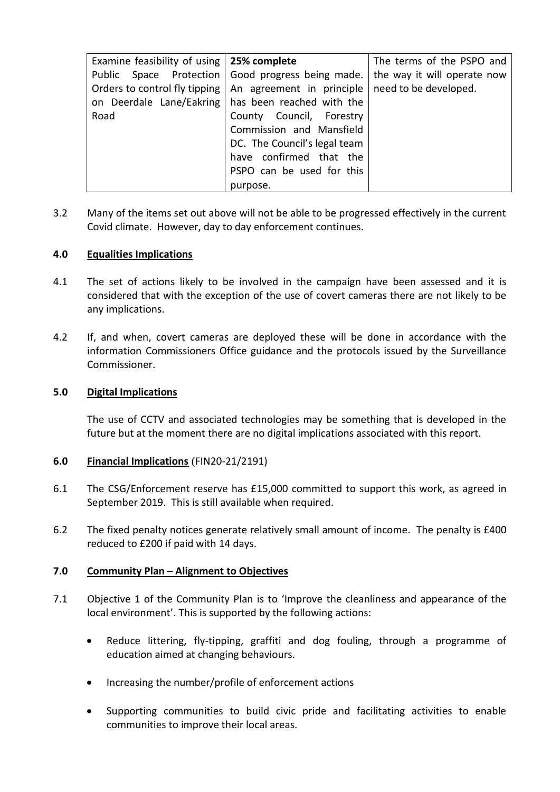| Examine feasibility of using $\vert$ 25% complete |                                                           | The terms of the PSPO and   |
|---------------------------------------------------|-----------------------------------------------------------|-----------------------------|
|                                                   | Public Space Protection   Good progress being made.       | the way it will operate now |
|                                                   | Orders to control fly tipping   An agreement in principle | need to be developed.       |
| on Deerdale Lane/Eakring                          | has been reached with the                                 |                             |
| Road                                              | County Council, Forestry                                  |                             |
|                                                   | Commission and Mansfield                                  |                             |
|                                                   | DC. The Council's legal team                              |                             |
|                                                   | have confirmed that the                                   |                             |
|                                                   | PSPO can be used for this                                 |                             |
|                                                   | purpose.                                                  |                             |

3.2 Many of the items set out above will not be able to be progressed effectively in the current Covid climate. However, day to day enforcement continues.

## **4.0 Equalities Implications**

- 4.1 The set of actions likely to be involved in the campaign have been assessed and it is considered that with the exception of the use of covert cameras there are not likely to be any implications.
- 4.2 If, and when, covert cameras are deployed these will be done in accordance with the information Commissioners Office guidance and the protocols issued by the Surveillance Commissioner.

## **5.0 Digital Implications**

The use of CCTV and associated technologies may be something that is developed in the future but at the moment there are no digital implications associated with this report.

### **6.0 Financial Implications** (FIN20-21/2191)

- 6.1 The CSG/Enforcement reserve has £15,000 committed to support this work, as agreed in September 2019. This is still available when required.
- 6.2 The fixed penalty notices generate relatively small amount of income. The penalty is £400 reduced to £200 if paid with 14 days.

### **7.0 Community Plan – Alignment to Objectives**

- 7.1 Objective 1 of the Community Plan is to 'Improve the cleanliness and appearance of the local environment'. This is supported by the following actions:
	- Reduce littering, fly-tipping, graffiti and dog fouling, through a programme of education aimed at changing behaviours.
	- Increasing the number/profile of enforcement actions
	- Supporting communities to build civic pride and facilitating activities to enable communities to improve their local areas.